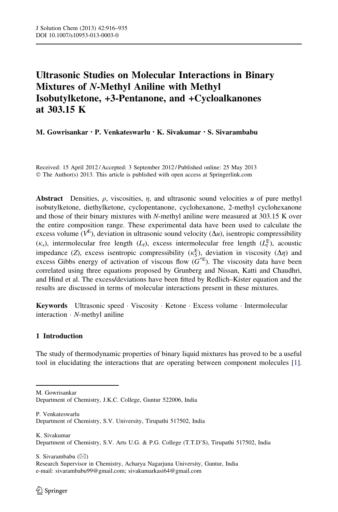# Ultrasonic Studies on Molecular Interactions in Binary Mixtures of N-Methyl Aniline with Methyl Isobutylketone, +3-Pentanone, and +Cycloalkanones at 303.15 K

## M. Gowrisankar • P. Venkateswarlu • K. Sivakumar • S. Sivarambabu

Received: 15 April 2012 / Accepted: 3 September 2012 / Published online: 25 May 2013 © The Author(s) 2013. This article is published with open access at Springerlink.com

Abstract Densities,  $\rho$ , viscosities,  $\eta$ , and ultrasonic sound velocities  $u$  of pure methyl isobutylketone, diethylketone, cyclopentanone, cyclohexanone, 2-methyl cyclohexanone and those of their binary mixtures with N-methyl aniline were measured at 303.15 K over the entire composition range. These experimental data have been used to calculate the excess volume ( $V^{E}$ ), deviation in ultrasonic sound velocity ( $\Delta u$ ), isentropic compressibility  $(\kappa_s)$ , intermolecular free length  $(L_f)$ , excess intermolecular free length  $(L_f^E)$ , acoustic impedance (Z), excess isentropic compressibility  $(\kappa_S^E)$ , deviation in viscosity ( $\Delta \eta$ ) and excess Gibbs energy of activation of viscous flow  $(G^*E)$ . The viscosity data have been correlated using three equations proposed by Grunberg and Nissan, Katti and Chaudhri, and Hind et al. The excess/deviations have been fitted by Redlich–Kister equation and the results are discussed in terms of molecular interactions present in these mixtures.

Keywords Ultrasonic speed · Viscosity · Ketone · Excess volume · Intermolecular interaction - N-methyl aniline

## 1 Introduction

The study of thermodynamic properties of binary liquid mixtures has proved to be a useful tool in elucidating the interactions that are operating between component molecules [\[1](#page-18-0)].

M. Gowrisankar

P. Venkateswarlu Department of Chemistry, S.V. University, Tirupathi 517502, India

K. Sivakumar Department of Chemistry, S.V. Arts U.G. & P.G. College (T.T.D'S), Tirupathi 517502, India

S. Sivarambabu  $(\boxtimes)$ 

Research Supervisor in Chemistry, Acharya Nagarjuna University, Guntur, India e-mail: sivarambabu99@gmail.com; sivakumarkasi64@gmail.com

Department of Chemistry, J.K.C. College, Guntur 522006, India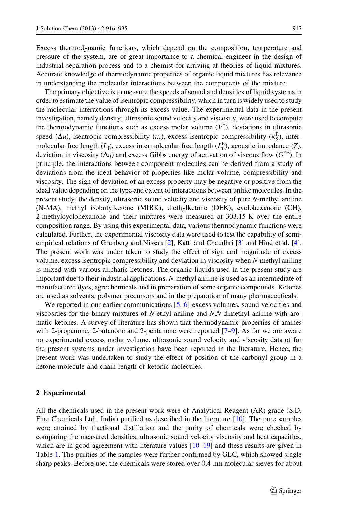Excess thermodynamic functions, which depend on the composition, temperature and pressure of the system, are of great importance to a chemical engineer in the design of industrial separation process and to a chemist for arriving at theories of liquid mixtures. Accurate knowledge of thermodynamic properties of organic liquid mixtures has relevance in understanding the molecular interactions between the components of the mixture.

The primary objective is to measure the speeds of sound and densities of liquid systems in order to estimate the value of isentropic compressibility, which in turn is widely used to study the molecular interactions through its excess value. The experimental data in the present investigation, namely density, ultrasonic sound velocity and viscosity, were used to compute the thermodynamic functions such as excess molar volume  $(V<sup>E</sup>)$ , deviations in ultrasonic speed  $(\Delta u)$ , isentropic compressibility  $(\kappa_s)$ , excess isentropic compressibility  $(\kappa_s^{\rm E})$ , intermolecular free length  $(L_f)$ , excess intermolecular free length  $(L_f^E)$ , acoustic impedance  $(Z)$ , deviation in viscosity ( $\Delta \eta$ ) and excess Gibbs energy of activation of viscous flow ( $G^*$ E). In principle, the interactions between component molecules can be derived from a study of deviations from the ideal behavior of properties like molar volume, compressibility and viscosity. The sign of deviation of an excess property may be negative or positive from the ideal value depending on the type and extent of interactions between unlike molecules. In the present study, the density, ultrasonic sound velocity and viscosity of pure N-methyl aniline (N-MA), methyl isobutylketone (MIBK), diethylketone (DEK), cyclohexanone (CH), 2-methylcyclohexanone and their mixtures were measured at 303.15 K over the entire composition range. By using this experimental data, various thermodynamic functions were calculated. Further, the experimental viscosity data were used to test the capability of semiempirical relations of Grunberg and Nissan [[2](#page-18-0)], Katti and Chaudhri [[3](#page-18-0)] and Hind et al. [\[4](#page-18-0)]. The present work was under taken to study the effect of sign and magnitude of excess volume, excess isentropic compressibility and deviation in viscosity when N-methyl aniline is mixed with various aliphatic ketones. The organic liquids used in the present study are important due to their industrial applications. N-methyl aniline is used as an intermediate of manufactured dyes, agrochemicals and in preparation of some organic compounds. Ketones are used as solvents, polymer precursors and in the preparation of many pharmaceuticals.

We reported in our earlier communications [\[5](#page-18-0), [6\]](#page-18-0) excess volumes, sound velocities and viscosities for the binary mixtures of N-ethyl aniline and N,N-dimethyl aniline with aromatic ketones. A survey of literature has shown that thermodynamic properties of amines with 2-propanone, 2-butanone and 2-pentanone were reported [\[7](#page-18-0)–[9\]](#page-18-0). As far we are aware no experimental excess molar volume, ultrasonic sound velocity and viscosity data of for the present systems under investigation have been reported in the literature, Hence, the present work was undertaken to study the effect of position of the carbonyl group in a ketone molecule and chain length of ketonic molecules.

## 2 Experimental

All the chemicals used in the present work were of Analytical Reagent (AR) grade (S.D. Fine Chemicals Ltd., India) purified as described in the literature [\[10](#page-18-0)]. The pure samples were attained by fractional distillation and the purity of chemicals were checked by comparing the measured densities, ultrasonic sound velocity viscosity and heat capacities, which are in good agreement with literature values  $[10-19]$  $[10-19]$  $[10-19]$  and these results are given in Table [1](#page-2-0). The purities of the samples were further confirmed by GLC, which showed single sharp peaks. Before use, the chemicals were stored over 0.4 nm molecular sieves for about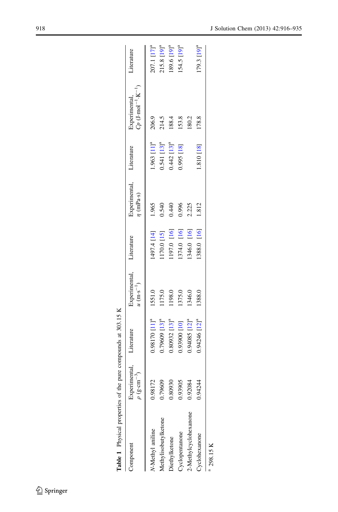<span id="page-2-0"></span>

| Table 1 Physical properties of the pure compounds at 303.15 K |                                                          |                               |                                                  |             |                                            |                           |                                                                |                             |
|---------------------------------------------------------------|----------------------------------------------------------|-------------------------------|--------------------------------------------------|-------------|--------------------------------------------|---------------------------|----------------------------------------------------------------|-----------------------------|
| Component                                                     | Experimental, Literature<br>$\rho$ (g·cm <sup>-3</sup> ) |                               | Experimental, Literature<br>$u (m \cdot s^{-1})$ |             | Experimental, Literature<br>$\eta$ (mPa·s) |                           | Experimental,<br>$C_P$ (J·mol <sup>-1</sup> ·K <sup>-1</sup> ) | Literature                  |
| N-Methyl aniline                                              | 0.98172                                                  | 1.98170 [11] <sup>a</sup>     | 1551.0                                           | 1497.4 [14] | 1.965                                      | $1.963 [11]$ <sup>a</sup> | 206.9                                                          | $207.1$ $[17]$ <sup>a</sup> |
| Methylisobutylketone                                          | 0.79609                                                  | 1.79609 [13] <sup>a</sup>     | 1175.0                                           | 170.0 [15]  | 0.540                                      | 0.541 [13] <sup>a</sup>   | 214.5                                                          | 215.8 [19] <sup>a</sup>     |
| Diethylketone                                                 | 0.80930                                                  | $0.80932$ $[13]$ <sup>a</sup> | 1198.0                                           | [197.0 [16] | 0.440                                      | $0.442$ [13] <sup>a</sup> | 188.4                                                          | $189.6 [19]$ <sup>a</sup>   |
| Cyclopentanone                                                | 0.93905                                                  | 101] 00686                    | 1375.0                                           | 1374.0 [16] | 0.996                                      | 0.995 [18]                | 153.8                                                          | $154.5 [19]$ <sup>a</sup>   |
| 2-Methylcyclohexanone                                         | 0.92084                                                  | $0.94085$ $[12]$ <sup>a</sup> | 1346.0                                           | [346.0 [16] | 2.225                                      |                           | 180.2                                                          |                             |
| Cyclohexanone                                                 | 0.94244                                                  | 1.94246 [12] <sup>a</sup>     | 1388.0                                           | [16] 1388.0 | 1.812                                      | 1.810 [18]                | 178.8                                                          | $179.3 [19]$ <sup>a</sup>   |
| 298.15 K                                                      |                                                          |                               |                                                  |             |                                            |                           |                                                                |                             |

| ۱<br>י<br>ו                                        |
|----------------------------------------------------|
| ֧֚֚֚֚֚֚֚֚֚֚֚֚֚֚֚֚֚֚֚֚֚֚֚֚֚֚֚֚֬֡֡֡֡֡֡֡֬<br>¢        |
| $\tilde{\phantom{a}}$                              |
| j<br>j                                             |
| ֚                                                  |
| ۱                                                  |
| ١<br>i                                             |
| ś                                                  |
| ۱                                                  |
| ı<br>ì<br>ļ<br>i<br>۱<br>l<br>ı                    |
| Í.                                                 |
| ֧֚֚֚֚֚֚֚֚֚֚֚֚֚֚֚֚֚֚֚֚֚֚֚֚֚֚֚֚֬֡֡֡֡֡֡֡֡֬֓<br>É<br>í |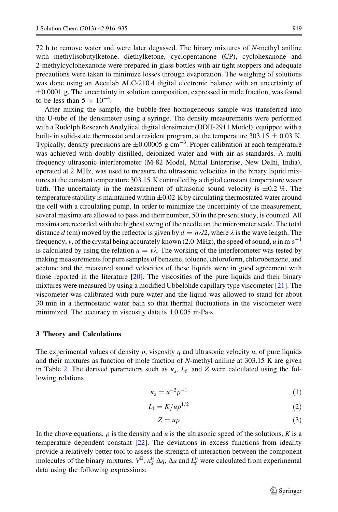72 h to remove water and were later degassed. The binary mixtures of N-methyl aniline with methylisobutylketone, diethylketone, cyclopentanone (CP), cyclohexanone and 2-methylcyclohexanone were prepared in glass bottles with air tight stoppers and adequate precautions were taken to minimize losses through evaporation. The weighing of solutions was done using an Acculab ALC-210.4 digital electronic balance with an uncertainty of  $\pm 0.0001$  g. The uncertainty in solution composition, expressed in mole fraction, was found to be less than  $5 \times 10^{-4}$ .

After mixing the sample, the bubble-free homogeneous sample was transferred into the U-tube of the densimeter using a syringe. The density measurements were performed with a Rudolph Research Analytical digital densimeter (DDH-2911 Model), equipped with a built- in solid-state thermostat and a resident program, at the temperature 303.15  $\pm$  0.03 K. Typically, density precisions are  $\pm 0.00005$  g $\cdot$ cm<sup>-3</sup>. Proper calibration at each temperature was achieved with doubly distilled, deionized water and with air as standards. A multi frequency ultrasonic interferometer (M-82 Model, Mittal Enterprise, New Delhi, India), operated at 2 MHz, was used to measure the ultrasonic velocities in the binary liquid mixtures at the constant temperature 303.15 K controlled by a digital constant temperature water bath. The uncertainty in the measurement of ultrasonic sound velocity is  $\pm 0.2$  %. The temperature stability is maintained within  $\pm 0.02$  K by circulating thermostated water around the cell with a circulating pump. In order to minimize the uncertainty of the measurement, several maxima are allowed to pass and their number, 50 in the present study, is counted. All maxima are recorded with the highest swing of the needle on the micrometer scale. The total distance d (cm) moved by the reflector is given by  $d = n\lambda/2$ , where  $\lambda$  is the wave length. The frequency, v, of the crystal being accurately known (2.0 MHz), the speed of sound, u in m $\cdot$ s<sup>-1</sup> is calculated by using the relation  $u = v\lambda$ . The working of the interferometer was tested by making measurements for pure samples of benzene, toluene, chloroform, chlorobenzene, and acetone and the measured sound velocities of these liquids were in good agreement with those reported in the literature [\[20\]](#page-19-0). The viscosities of the pure liquids and their binary mixtures were measured by using a modified Ubbelohde capillary type viscometer [[21](#page-19-0)]. The viscometer was calibrated with pure water and the liquid was allowed to stand for about 30 min in a thermostatic water bath so that thermal fluctuations in the viscometer were minimized. The accuracy in viscosity data is  $\pm 0.005$  m·Pa·s

#### 3 Theory and Calculations

The experimental values of density  $\rho$ , viscosity  $\eta$  and ultrasonic velocity  $u$ , of pure liquids and their mixtures as function of mole fraction of N-methyl aniline at 303.15 K are given in Table [2](#page-4-0). The derived parameters such as  $\kappa_s$ , L<sub>f</sub>, and Z were calculated using the following relations

$$
\kappa_s = u^{-2} \rho^{-1} \tag{1}
$$

$$
L_{\rm f} = K / \mu \rho^{1/2} \tag{2}
$$

$$
Z = u\rho \tag{3}
$$

In the above equations,  $\rho$  is the density and u is the ultrasonic speed of the solutions. K is a temperature dependent constant [\[22\]](#page-19-0). The deviations in excess functions from ideality provide a relatively better tool to assess the strength of interaction between the component molecules of the binary mixtures.  $V^E$ ,  $\kappa_S^E \Delta \eta$ ,  $\Delta u$  and  $L_f^E$  were calculated from experimental data using the following expressions: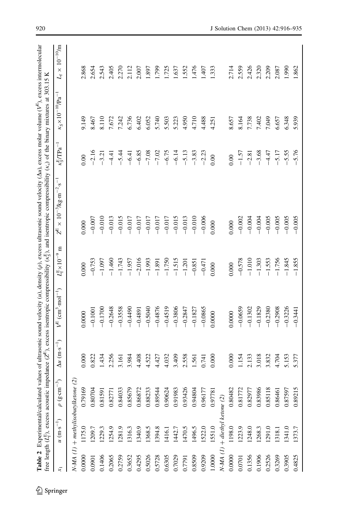|        | free length $(L_f^E)$ , excess acoustic in |                                        |                                 |                                     |                                         | <b>Table 2</b> Experimental/calculated values of ultrasonic sound velocity (u), density (p), excess ultrasonic sound velocity ( $\Delta u$ ), excess molar volume ( $V^E$ ), excess intermolecular<br>pedance ( $Z^E$ ), excess isentropic compressibility ( $\kappa_{\xi}^E$ ), and isentropic compressibility ( $\kappa_v$ ) of the binary mixtures at 303.15 K |                                        |                                                  |                                |
|--------|--------------------------------------------|----------------------------------------|---------------------------------|-------------------------------------|-----------------------------------------|-------------------------------------------------------------------------------------------------------------------------------------------------------------------------------------------------------------------------------------------------------------------------------------------------------------------------------------------------------------------|----------------------------------------|--------------------------------------------------|--------------------------------|
|        | $u (m \cdot s^{-1})$                       | న్<br>$(g \cdot cm)$<br>$\overline{c}$ | $\Delta u$ (m·s <sup>-1</sup> ) | $\text{cm}^3 \text{·mol}^{-1}$<br>巴 | Ξ<br>$L_{\rm f}^{\rm E} \times 10^{-9}$ | $\times 10^{-3}$ /kg·m <sup>-2</sup> ·s <sup>-1</sup><br>F.                                                                                                                                                                                                                                                                                                       | $\kappa_S^{\rm E}/\Gamma{\rm Pa}^{-1}$ | T<br>$\kappa_{\rm S} \times 10^{-10} / {\rm Pa}$ | $10^{-10}$ /m<br>$\times$<br>4 |
|        | $N-MA (1)$ + methylisobutylketone          | $\widetilde{\omega}$                   |                                 |                                     |                                         |                                                                                                                                                                                                                                                                                                                                                                   |                                        |                                                  |                                |
| 0.0000 | 1175.0                                     | 0.79169                                | 0.000                           | 0.0000                              | 0.000                                   | 0.000                                                                                                                                                                                                                                                                                                                                                             | 0.00                                   | 9.149                                            | 2.868                          |
| 0.0901 | 1209.7                                     | 0.80704                                | 0.822                           | $-0.1001$                           | $-0.753$                                | $-0.007$                                                                                                                                                                                                                                                                                                                                                          | $-2.16$                                | 8.467                                            | 2.654                          |
| 0.1406 | 1229.3                                     | 0.81591                                | 1.434                           | $-0.1700$                           | $-1.097$                                | $-0.010$                                                                                                                                                                                                                                                                                                                                                          | $-3.21$                                | 8.110                                            | 2.543                          |
| 0.2065 | 1254.9                                     | 0.82771                                | 2.256                           | $-0.2648$                           | $-1.460$                                | $-0.013$                                                                                                                                                                                                                                                                                                                                                          | $-4.41$                                | 7.672                                            | 2.405                          |
| 0.2759 | 1281.9                                     | 0.84033                                | 3.161                           | $-0.3558$                           | $-1.743$                                | $-0.015$                                                                                                                                                                                                                                                                                                                                                          | $-5.44$                                | 7.242                                            | 2.270                          |
| 0.3652 | 1316.3                                     | 0.85679                                | 3.984                           | $-0.4490$                           | $-1.957$                                | $-0.017$                                                                                                                                                                                                                                                                                                                                                          | $-6.41$                                | 6.736                                            | 2.112                          |
| 0.4295 | 1340.9                                     | 0.86872                                | 4.408                           | $-0.4891$                           | $-2.016$                                | $-0.017$                                                                                                                                                                                                                                                                                                                                                          | $-6.85$                                | 6.402                                            | 2.007                          |
| 0.5026 | 1368.5                                     | 0.88233                                | 4.522                           | $-0.5040$                           | $-1.993$                                | $-0.017$                                                                                                                                                                                                                                                                                                                                                          | $-7.08$                                | 6.052                                            | 1.897                          |
| 0.5728 | 1394.8                                     | 0.89544                                | 4.427                           | $-0.4876$                           | $-1.891$                                | $-0.017$                                                                                                                                                                                                                                                                                                                                                          | $-7.02$                                | 5.740                                            | 1.799                          |
| 0.6305 | 1416.1                                     | 0.90624                                | 4.032                           | $-0.4519$                           | $-1.750$                                | $-0.017$                                                                                                                                                                                                                                                                                                                                                          | $-6.75$                                | 5.503                                            | 1.725                          |
| 0.7029 | 1442.7                                     | 0.91983                                | 3.409                           | $-0.3806$                           | $-1.515$                                | $-0.015$                                                                                                                                                                                                                                                                                                                                                          | $-6.14$                                | 5.223                                            | 1.637                          |
| 0.7791 | 1470.5                                     | 0.93426                                | 2.558                           | $-0.2847$                           | $-1.201$                                | $-0.013$                                                                                                                                                                                                                                                                                                                                                          | $-5.13$                                | 4.950                                            | 1.552                          |
| 0.8509 | 1496.5                                     | 0.94804                                | 1.561                           | $-0.1827$                           | $-0.851$                                | $-0.010$                                                                                                                                                                                                                                                                                                                                                          | $-3.83$                                | 4.710                                            | 1.476                          |
| 0.9209 | 1522.0                                     | 0.96177                                | 0.741                           | $-0.0865$                           | $-0.471$                                | $-0.006$                                                                                                                                                                                                                                                                                                                                                          | $-2.23$                                | 4.488                                            | 1.407                          |
| 1.0000 | 1551.0                                     | 0.9778                                 | 0.000                           | 0.0000                              | 0.000                                   | 0.000                                                                                                                                                                                                                                                                                                                                                             | 0.00                                   | 4.251                                            | 1.333                          |
|        | $N-MA$ (1) $+$ diethyl ketone (2)          |                                        |                                 |                                     |                                         |                                                                                                                                                                                                                                                                                                                                                                   |                                        |                                                  |                                |
| 0.0000 | 1198.0                                     | 0.80482                                | 0.000                           | 0.0000                              | 0.000                                   | $0.000$                                                                                                                                                                                                                                                                                                                                                           | 0.00                                   | 8.657                                            | 2.714                          |
| 0.0701 | 1223.9                                     | 0.81772                                | 1.154                           | $-0.0659$                           | $-0.578$                                | $-0.002$                                                                                                                                                                                                                                                                                                                                                          | $-1.57$                                | 8.164                                            | 2.559                          |
| 0.1356 | 1248.0                                     | 0.82977                                | 2.133                           | $-0.1302$                           | $-1.010$                                | $-0.004$                                                                                                                                                                                                                                                                                                                                                          | $-2.81$                                | 7.738                                            | 2.426                          |
| 0.1906 | 1268.3                                     | 0.83986                                | 3.018                           | $-0.1829$                           | $-1.303$                                | $-0.004$                                                                                                                                                                                                                                                                                                                                                          | $-3.68$                                | 7.402                                            | 2.320                          |
| 0.2526 | 1291.0                                     | 0.85118                                | 3.832                           | $-0.2380$                           | $-1.553$                                | $-0.005$                                                                                                                                                                                                                                                                                                                                                          | $-4.47$                                | 7.049                                            | 2.209                          |
| 0.3269 | 1318.1                                     | 0.86461                                | 4.704                           | $-0.2908$                           | $-1.756$                                | $-0.005$                                                                                                                                                                                                                                                                                                                                                          | $-5.17$                                | 6.657                                            | 2.087                          |
| 0.3905 | 1341.0                                     | 0.87597                                | 5.153                           | $-0.3226$                           | $-1.845$                                | $-0.005$                                                                                                                                                                                                                                                                                                                                                          | $-5.55$                                | 6.348                                            | 1.990                          |
| 0.4825 | 1373.7                                     | 0.89215                                | 5.377                           | $-0.3441$                           | $-1.855$                                | $-0.005$                                                                                                                                                                                                                                                                                                                                                          | $-5.76$                                | 5.939                                            | 1.862                          |

<span id="page-4-0"></span>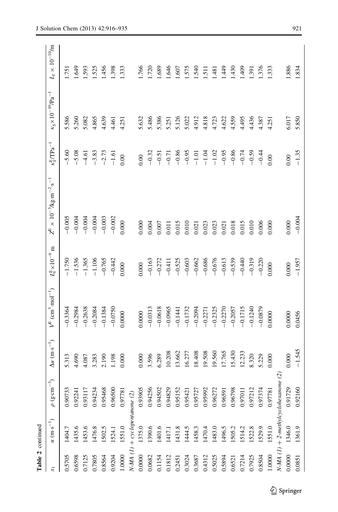| Table 2 continued |                                     |                    |                                 |                                               |                                   |                                                                 |                                        |                                                         |                                   |
|-------------------|-------------------------------------|--------------------|---------------------------------|-----------------------------------------------|-----------------------------------|-----------------------------------------------------------------|----------------------------------------|---------------------------------------------------------|-----------------------------------|
| $\overline{x_1}$  | $u (m \cdot s^{-1})$                | న్<br>$\rho$ (g.cm | $\Delta u$ (m·s <sup>-1</sup> ) | $V^{E}$ (cm <sup>3</sup> ·mol <sup>-1</sup> ) | Ξ<br>$L_f^{\rm E} \times 10^{-9}$ | $Z^{\rm E} \times 10^{-3}$ /kg·m <sup>-2</sup> ·s <sup>-1</sup> | $\kappa_S^{\rm E}/\Gamma{\rm Pa}^{-1}$ | $\kappa_{\rm S}\!\times\!10^{-10}\!/ \! \text{Pa}^{-1}$ | $L_{\rm f}\times 10^{-10}\rm{fm}$ |
| 0.5705            | 1404.7                              | 0.90733            | 5.313                           | $-0.3364$                                     | $-1.750$                          | $-0.005$                                                        | $-5.60$                                | 5.586                                                   | 1.751                             |
| 0.6598            | 1435.6                              | 0.92241            | 4.690                           | $-0.2984$                                     | $-1.536$                          | $-0.004$                                                        | $-5.08$                                | 5.260                                                   | 1.649                             |
| 0.7125            | 1453.6                              | 0.93117            | 4.087                           | $-0.2638$                                     | $-1.365$                          | $-0.004$                                                        | $-4.61$                                | 5.082                                                   | 1.593                             |
| 0.7805            | 1476.8                              | 0.94234            | 3.283                           | $-0.2084$                                     | $-1.106$                          | $-0.004$                                                        | $-3.83$                                | 4.865                                                   | 1.525                             |
| 0.8564            | 1502.5                              | 0.95468            | 2.190                           | $-0.1384$                                     | $-0.765$                          | $-0.003$                                                        | $-2.73$                                | 4.639                                                   | .456                              |
| 0.9204            | 1524.1                              | 0.96500            | 1.198                           | $-0.0750$                                     | $-0.442$                          | $-0.002$                                                        | $-1.61$                                | 4.461                                                   | 1.398                             |
| 1.0000            | 1551.0                              | 0.9778             | 0.000                           | 0.0000                                        | 0.000                             | 0.000                                                           | 0.00                                   | 4.251                                                   | 1.333                             |
|                   | $N-MA$ (1) + cyclopentanone (2)     |                    |                                 |                                               |                                   |                                                                 |                                        |                                                         |                                   |
| 0.0000            | 1375.0                              | 0.93905            | 0.000                           | 0.0000                                        | 0.000                             | 0.000                                                           | 0.00                                   | 5.632                                                   | 1.766                             |
| 0.0682            | 1390.6                              | 0.94256            | 3.596                           | $-0.0313$                                     | $-0.163$                          | 0.004                                                           | $-0.32$                                | 5.486                                                   | 1.720                             |
| 0.1154            | 1401.6                              | 0.94502            | 6.289                           | $-0.0618$                                     | $-0.272$                          | 0.007                                                           | $-0.51$                                | 5.386                                                   | 1.689                             |
| 0.1812            | 1417.1                              | 0.94829            | 10.208                          | $-0.0965$                                     | $-0.411$                          | 0.011                                                           | $-0.71$                                | 5.251                                                   | 1.646                             |
| 0.2451            | 1431.8                              | 0.95152            | 13.662                          | $-0.1441$                                     | $-0.525$                          | 0.015                                                           | $-0.86$                                | 5.126                                                   | 1.607                             |
| 0.3024            | 1444.5                              | 0.95421            | 16.277                          | $-0.1732$                                     | $-0.603$                          | 0.010                                                           | $-0.95$                                | 5.022                                                   | 1.575                             |
| 0.3687            | 1458.3                              | 0.95727            | 18.408                          | $-0.2094$                                     | $-0.662$                          | 0.021                                                           | $-1.01$                                | 4.912                                                   | 1.540                             |
| 0.4312            | 1470.4                              | 0.95992            | 19.508                          | $-0.2271$                                     | $-0.686$                          | 0.023                                                           | $-1.04$                                | 4.818                                                   | $\overline{151}$                  |
| 0.5025            | 1483.0                              | 0.96272            | 19.560                          | $-0.2325$                                     | $-0.676$                          | 0.023                                                           | $-1.02$                                | 4.723                                                   | 1.481                             |
| 0.5894            | 1496.5                              | 0.96591            | 17.765                          | $-0.2270$                                     | $-0.613$                          | 0.021                                                           | $-0.95$                                | 4.622                                                   | 1.449                             |
| 0.6521            | 1505.2                              | 0.96798            | 15.430                          | $-0.2057$                                     | $-0.539$                          | 0.018                                                           | $-0.86$                                | 4.559                                                   | 1.430                             |
| 0.7214            | 1514.2                              | 0.97011            | 12.233                          | $-0.1715$                                     | $-0.440$                          | 0.015                                                           | $-0.74$                                | 4.495                                                   | 1.409                             |
| 0.7925            | 1522.8                              | 0.97212            | 8.320                           | $-0.1240$                                     | $-0.319$                          | 0.010                                                           | $-0.59$                                | 4.436                                                   | 1.391                             |
| 0.8504            | 1529.9                              | 0.97374            | 5.229                           | $-0.0879$                                     | $-0.220$                          | 0.006                                                           | $-0.44$                                | 4.387                                                   | 1.376                             |
| 1.0000            | 1551.0                              | 0.97781            | 0.000                           | 0.0000                                        | 0.000                             | 0.000                                                           | 0.00                                   | 4.251                                                   | 1.333                             |
|                   | $N-MA (1) + 2-methyl cyclohexan$ on | ve (2              |                                 |                                               |                                   |                                                                 |                                        |                                                         |                                   |
| 0.0000            | 1346.0                              | 0.91729            | 0.000                           | 0.0000                                        | 0.000                             | 0.000                                                           | 0.00                                   | 6.017                                                   | 1.886                             |
| 0.0851            | 1361.9                              | 0.92160            | $-1.545$                        | 0.0456                                        | $-1.957$                          | $-0.004$                                                        | $-1.35$                                | 5.850                                                   | 1.834                             |

 $\underline{\textcircled{\tiny 2}}$  Springer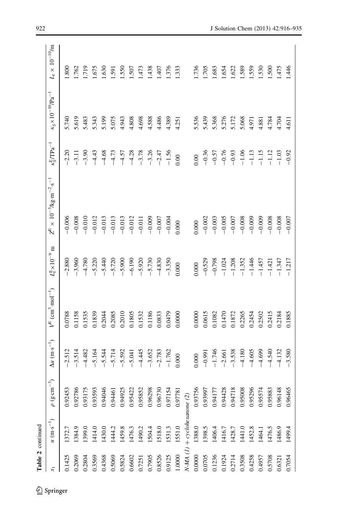| $\kappa_1$ | $u (m \cdot s^{-1})$           | $\widehat{1}$<br>$\rho$ (g.cm | $\Delta u~(\text{m}\!\cdot\!\text{s}^{-1})$ | $V^{E}$ (cm <sup>3</sup> ·mol <sup>-1</sup> ) | Ξ<br>$L_f^{\rm E} \times 10^{-9}$ | $Z^{\rm E} \times 10^{-3}$ /kg·m <sup>-2</sup> ·s <sup>-1</sup> | $\kappa_S^{\rm E}/\rm TPa^{-1}$ | $\kappa_{\rm S}\!\times\!10^{-10}\!/_{\!\rm Pa^{-1}}$ | $L_{\rm f} \times 10^{-10} {\rm fm}$ |
|------------|--------------------------------|-------------------------------|---------------------------------------------|-----------------------------------------------|-----------------------------------|-----------------------------------------------------------------|---------------------------------|-------------------------------------------------------|--------------------------------------|
| 0.1425     | 1372.7                         | 0.92453                       | $-2.512$                                    | 0.0788                                        | $-2.880$                          | $-0.006$                                                        | $-2.20$                         | 5.740                                                 | .800                                 |
| 0.2069     | 1384.9                         | 0.92786                       | $-3.514$                                    | 0.1158                                        | $-3.960$                          | $-0.008$                                                        | $-3.11$                         | 5.619                                                 | .762                                 |
| 0.2804     | 1399.0                         | 0.93175                       | $-4.482$                                    | 0.1535                                        | $-4.780$                          | $-0.010$                                                        | $-3.90$                         | 5.483                                                 | 1.719                                |
| 0.3569     | 1414.0                         | 0.93593                       | $-5.164$                                    | 0.1839                                        | $-5.220$                          | $-0.012$                                                        | $-4.43$                         | 5.343                                                 | .675                                 |
| 0.4368     | 1430.0                         | 0.94046                       | $-5.544$                                    | 0.2044                                        | $-5.440$                          | $-0.013$                                                        | $-4.68$                         | 5.199                                                 | .630                                 |
| 0.5069     | 1444.2                         | 0.94461                       | $-5.714$                                    | 0.2085                                        | $-5.720$                          | $-0.013$                                                        | $-4.73$                         | 5.075                                                 | 591                                  |
| 0.5824     | 1459.8                         | 0.94925                       | $-5.592$                                    | 0.2010                                        | $-5.900$                          | $-0.013$                                                        | $-4.57$                         | 4.943                                                 | 550                                  |
| 0.6602     | 1476.3                         | 0.95422                       | $-5.041$                                    | 0.1805                                        | $-6.190$                          | $-0.012$                                                        | $-4.28$                         | 4.808                                                 | .507                                 |
| 0.7251     | 1490.2                         | 0.95852                       | $-4.445$                                    | 0.1532                                        | $-5.920$                          | $-0.011$                                                        | $-3.78$                         | 4.698                                                 | .473                                 |
| 0.7905     | 1504.4                         | 0.96298                       | $-3.652$                                    | 0.1186                                        | $-5.730$                          | $-0.009$                                                        | $-3.26$                         | 4.588                                                 | .438                                 |
| 0.8526     | 1518.0                         | 0.96730                       | $-2.783$                                    | 0.0833                                        | $-4.830$                          | $-0.007$                                                        | $-2.47$                         | 4.486                                                 | 1.407                                |
| 0.9125     | 1531.3                         | 0.97154                       | $-1.762$                                    | 0.0479                                        | $-3.350$                          | $-0.004$                                                        | $-1.56$                         | 4.389                                                 | 1.376                                |
| 1.0000     | 1551.0                         | 0.97781                       | 0.000                                       | 0.0000                                        | 0.000                             | 0.000                                                           | 0.00                            | 4.251                                                 | 1.333                                |
|            | $N-MA$ (1) + cyclohexanone (2) |                               |                                             |                                               |                                   |                                                                 |                                 |                                                       |                                      |
| 0.0000     | 1388.0                         | 0.93756                       | 0.000                                       | 0.0000                                        | 0.000                             | 0.000                                                           | 00(                             | 5.536                                                 | 1.736                                |
| 0.0705     | 1398.5                         | 0.93997                       | $-0.991$                                    | 0.0615                                        | $-0.529$                          | $-0.002$                                                        | $-0.36$                         | 5.439                                                 | 1.705                                |
| 0.1236     | 1406.4                         | 0.94177                       | $-1.746$                                    | 0.1082                                        | $-0.798$                          | $-0.003$                                                        | $-0.57$                         | 5.368                                                 | 1.683                                |
| 0.1924     | 1416.7                         | 0.94428                       | $-2.661$                                    | 0.1470                                        | $-1.024$                          | $-0.005$                                                        | $-0.76$                         | 5.276                                                 | 1.654                                |
| 0.2714     | 1428.7                         | 0.94718                       | $-3.538$                                    | 0.1872                                        | $-1.208$                          | $-0.007$                                                        | $-0.93$                         | 5.172                                                 | 1.622                                |
| 0.3508     | 1441.0                         | 0.95008                       | $-4.180$                                    | 0.2265                                        | $-1.352$                          | $-0.008$                                                        | $-1.06$                         | 5.068                                                 | 1.589                                |
| 0.4258     | 1452.8                         | 0.95296                       | $-4.605$                                    | 0.2454                                        | $-1.446$                          | $-0.009$                                                        | $-1.13$                         | 4.971                                                 | 1.559                                |
| 0.4957     | 1464.1                         | 0.95574                       | $-4.699$                                    | 0.2502                                        | $-1.457$                          | $-0.009$                                                        | $-1.15$                         | 4.881                                                 | .530                                 |
| 0.5708     | 1476.5                         | 0.95883                       | $-4.540$                                    | 0.2415                                        | $-1.421$                          | $-0.008$                                                        | $-1.12$                         | 4.784                                                 | .500                                 |
| 0.6321     | 1486.9                         | 0.96148                       | $-4.132$                                    | 0.2184                                        | $-1.347$                          | $-0.008$                                                        | $-1.03$                         | 4.704                                                 | 1.475                                |
| 0.7054     | 1499.4                         | 0.96465                       | $-3.580$                                    | 0.1885                                        | $-1.217$                          | $-0.007$                                                        | $-0.92$                         | 4.611                                                 | 1.446                                |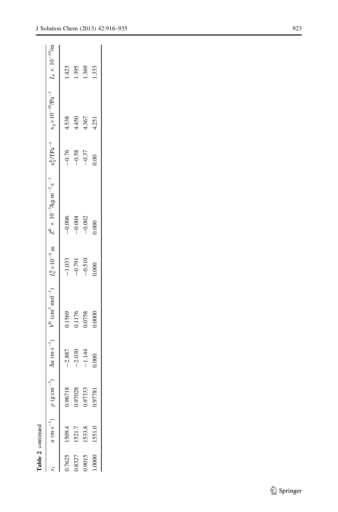|        | Table 2 continued |                                                   |          |                                                                                                            |          |                                                                                                                                                                       |         |       |       |
|--------|-------------------|---------------------------------------------------|----------|------------------------------------------------------------------------------------------------------------|----------|-----------------------------------------------------------------------------------------------------------------------------------------------------------------------|---------|-------|-------|
|        |                   | $u \text{ (m·s}^{-1})$ $\rho \text{ (g·cm}^{-3})$ |          | $\Delta u$ (m·s <sup>-1</sup> ) $V^{E}$ (cm <sup>3</sup> ·mol <sup>-1</sup> ) $L_{F}^{E} \times 10^{-9}$ m |          | $Z^E \times 10^{-3}$ /kg·m <sup>-2</sup> ·s <sup>-1</sup> $\kappa_s^E / \text{TPa}^{-1}$ $\kappa_s \times 10^{-10} / \text{Pa}^{-1}$ $L_f \times 10^{-10} / \text{m}$ |         |       |       |
| 1.7625 | 1509.4            | 0.96718                                           | $-2.887$ | 1569                                                                                                       | $-1.033$ | $-0.006$                                                                                                                                                              | $-0.76$ | 4.538 | .423  |
| 0.8327 | 1521.7            | 0.97028                                           | $-2.030$ | 0.1176                                                                                                     | $-0.791$ | $-0.004$                                                                                                                                                              | $-0.58$ | 4.450 | .395  |
| 1.9015 | 1533.8            | 1.97333                                           | $-1.144$ | 0.0758                                                                                                     | $-0.510$ | $-0.002$                                                                                                                                                              | $-0.37$ | 4.367 | .369  |
| 0000   | 1551.0            | 0.97781                                           | 0.000    | 0.0000                                                                                                     | 0.000    | 000.                                                                                                                                                                  | 0.00    | 4.251 | 1.333 |
|        |                   |                                                   |          |                                                                                                            |          |                                                                                                                                                                       |         |       |       |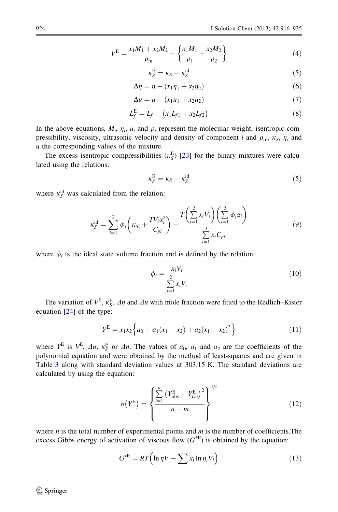$$
V^{E} = \frac{x_1 M_1 + x_2 M_2}{\rho_m} - \left\{ \frac{x_1 M_1}{\rho_1} + \frac{x_2 M_2}{\rho_2} \right\}
$$
(4)

$$
\kappa_S^{\rm E} = \kappa_S - \kappa_S^{\rm id} \tag{5}
$$

$$
\Delta \eta = \eta - (x_1 \eta_1 + x_2 \eta_2) \tag{6}
$$

$$
\Delta u = u - (x_1 u_1 + x_2 u_2) \tag{7}
$$

$$
L_f^{\rm E} = L_f - (x_1 L_{f1} + x_2 L_{f2}) \tag{8}
$$

In the above equations,  $M_i$ ,  $\eta_i$ ,  $u_i$  and  $\rho_i$  represent the molecular weight, isentropic compressibility, viscosity, ultrasonic velocity and density of component i and  $\rho_m$ ,  $\kappa_S$ ,  $\eta$ , and  $u$  the corresponding values of the mixture.

The excess isentropic compressibilities ( $\kappa_S^{\rm E}$ ) [[23](#page-19-0)] for the binary mixtures were calculated using the relations:

$$
\kappa_S^{\rm E} = \kappa_S - \kappa_S^{\rm id} \tag{5}
$$

where  $\kappa_S^{\text{id}}$  was calculated from the relation:

$$
\kappa_{S}^{\text{id}} = \sum_{i=1}^{2} \phi_{i} \left( \kappa_{Si} + \frac{T V_{i} \alpha_{i}^{2}}{C_{pi}} \right) - \frac{T \left( \sum_{i=1}^{2} x_{i} V_{i} \right) \left( \sum_{i=1}^{2} \phi_{i} \alpha_{i} \right)}{\sum_{i=1}^{2} x_{i} C_{pi}} \tag{9}
$$

where  $\phi_i$  is the ideal state volume fraction and is defined by the relation:

$$
\phi_i = \frac{x_i V_i}{\sum\limits_{i=1}^{2} x_i V_i} \tag{10}
$$

The variation of  $V^E$ ,  $\kappa_S^E$ ,  $\Delta \eta$  and  $\Delta u$  with mole fraction were fitted to the Redlich–Kister equation [[24](#page-19-0)] of the type:

$$
Y^{\rm E} = x_1 x_2 \left\{ a_0 + a_1 (x_1 - x_2) + a_2 (x_1 - x_2)^2 \right\} \tag{11}
$$

where  $Y^E$  is  $V^E$ ,  $\Delta u$ ,  $\kappa_S^E$  or  $\Delta \eta$ . The values of  $a_0$ ,  $a_1$  and  $a_2$  are the coefficients of the polynomial equation and were obtained by the method of least-squares and are given in Table [3](#page-9-0) along with standard deviation values at 303.15 K. The standard deviations are calculated by using the equation:

$$
\sigma(Y^{E}) = \left\{ \frac{\sum_{i=1}^{n} (Y^{E}_{obs} - Y^{E}_{cal})^{2}}{n - m} \right\}^{1/2}
$$
\n(12)

where *n* is the total number of experimental points and  $m$  is the number of coefficients. The excess Gibbs energy of activation of viscous flow  $(G^*E)$  is obtained by the equation:

$$
G^{*E} = RT\Big(\ln \eta V - \sum x_i \ln \eta_i V_i\Big) \tag{13}
$$

 $\textcircled{2}$  Springer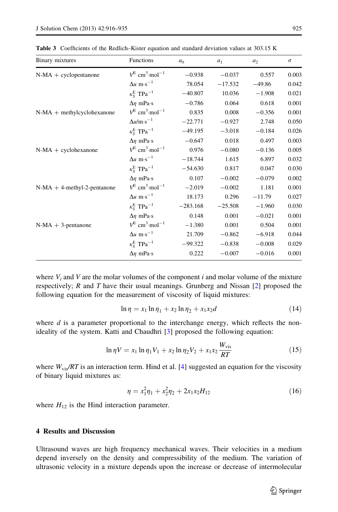| Binary mixtures                | <b>Functions</b>                               | a <sub>0</sub> | $a_1$     | $a_2$    | $\sigma$ |
|--------------------------------|------------------------------------------------|----------------|-----------|----------|----------|
| $N-MA + cyclopentanone$        | $V^{\rm E}$ cm <sup>3</sup> ·mol <sup>-1</sup> | $-0.938$       | $-0.037$  | 0.557    | 0.003    |
|                                | $\Delta u$ m·s <sup>-1</sup>                   | 78.054         | $-17.532$ | $-49.86$ | 0.042    |
|                                | $\kappa_{\rm s}^{\rm E}$ TPa <sup>-1</sup>     | $-40.807$      | 10.036    | $-1.908$ | 0.021    |
|                                | $\Delta \eta$ mPa·s                            | $-0.786$       | 0.064     | 0.618    | 0.001    |
| N-MA + methylcyclohexanone     | $V^{\rm E}$ cm <sup>3</sup> ·mol <sup>-1</sup> | 0.835          | 0.008     | $-0.356$ | 0.001    |
|                                | $\Delta u/m \cdot s^{-1}$                      | $-22.771$      | $-0.927$  | 2.748    | 0.050    |
|                                | $\kappa_S^E$ TPa <sup>-1</sup>                 | $-49.195$      | $-3.018$  | $-0.184$ | 0.026    |
|                                | $\Delta \eta$ mPa·s                            | $-0.647$       | 0.018     | 0.497    | 0.003    |
| $N-MA + cyclohexanone$         | $V^{\rm E}$ cm <sup>3</sup> ·mol <sup>-1</sup> | 0.976          | $-0.080$  | $-0.136$ | 0.005    |
|                                | $\Delta u$ m·s <sup>-1</sup>                   | $-18.744$      | 1.615     | 6.897    | 0.032    |
|                                | $\kappa_{\rm s}^{\rm E}$ TPa <sup>-1</sup>     | $-54.630$      | 0.817     | 0.047    | 0.030    |
|                                | $\Delta \eta$ mPa·s                            | 0.107          | $-0.002$  | $-0.079$ | 0.002    |
| $N-MA + 4$ -methyl-2-pentanone | $V^{\rm E}$ cm <sup>3</sup> ·mol <sup>-1</sup> | $-2.019$       | $-0.002$  | 1.181    | 0.001    |
|                                | $\Delta u$ m·s <sup>-1</sup>                   | 18.173         | 0.296     | $-11.79$ | 0.027    |
|                                | $\kappa_S^E$ TPa <sup>-1</sup>                 | $-283.168$     | $-25.508$ | $-1.960$ | 0.030    |
|                                | $\Delta \eta$ mPa·s                            | 0.148          | 0.001     | $-0.021$ | 0.001    |
| $N-MA + 3$ -pentanone          | $V^{\rm E}$ cm <sup>3</sup> ·mol <sup>-1</sup> | $-1.380$       | 0.001     | 0.504    | 0.001    |
|                                | $\Delta u$ m·s <sup>-1</sup>                   | 21.709         | $-0.862$  | $-6.918$ | 0.044    |
|                                | $\kappa_S^E$ TPa <sup>-1</sup>                 | $-99.322$      | $-0.838$  | $-0.008$ | 0.029    |
|                                | $\Delta \eta$ mPa·s                            | 0.222          | $-0.007$  | $-0.016$ | 0.001    |

<span id="page-9-0"></span>Table 3 Coefficients of the Redlich–Kister equation and standard deviation values at 303.15 K

where  $V_i$  and V are the molar volumes of the component i and molar volume of the mixture respectively; R and T have their usual meanings. Grunberg and Nissan  $[2]$  $[2]$  proposed the following equation for the measurement of viscosity of liquid mixtures:

$$
\ln \eta = x_1 \ln \eta_1 + x_2 \ln \eta_2 + x_1 x_2 d \tag{14}
$$

where  $d$  is a parameter proportional to the interchange energy, which reflects the nonideality of the system. Katti and Chaudhri [[3](#page-18-0)] proposed the following equation:

$$
\ln \eta V = x_1 \ln \eta_1 V_1 + x_2 \ln \eta_2 V_2 + x_1 x_2 \frac{W_{\text{vis}}}{RT}
$$
\n(15)

where  $W_{\text{vis}}/RT$  is an interaction term. Hind et al. [\[4\]](#page-18-0) suggested an equation for the viscosity of binary liquid mixtures as:

$$
\eta = x_1^2 \eta_1 + x_2^2 \eta_2 + 2x_1 x_2 H_{12} \tag{16}
$$

where  $H_{12}$  is the Hind interaction parameter.

## 4 Results and Discussion

Ultrasound waves are high frequency mechanical waves. Their velocities in a medium depend inversely on the density and compressibility of the medium. The variation of ultrasonic velocity in a mixture depends upon the increase or decrease of intermolecular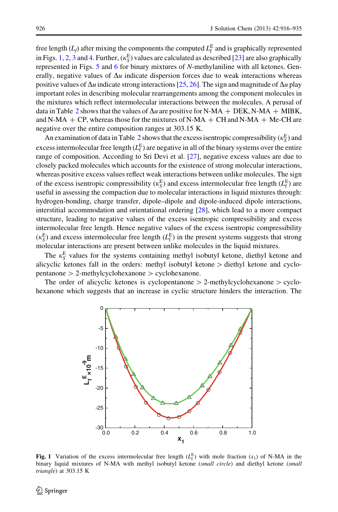free length  $(L_f)$  after mixing the components the computed  $L_f^E$  and is graphically represented in Figs. 1, [2,](#page-11-0) [3](#page-11-0) and [4.](#page-12-0) Further,  $(\kappa_S^E)$  values are calculated as described [\[23\]](#page-19-0) are also graphically represented in Figs. [5](#page-12-0) and [6](#page-13-0) for binary mixtures of N-methylaniline with all ketones. Generally, negative values of  $\Delta u$  indicate dispersion forces due to weak interactions whereas positive values of  $\Delta u$  indicate strong interactions [[25](#page-19-0), [26\]](#page-19-0). The sign and magnitude of  $\Delta u$  play important roles in describing molecular rearrangements among the component molecules in the mixtures which reflect intermolecular interactions between the molecules. A perusal of data in Table [2](#page-4-0) shows that the values of  $\Delta u$  are positive for N-MA + DEK, N-MA + MIBK, and N-MA  $+$  CP, whereas those for the mixtures of N-MA  $+$  CH and N-MA  $+$  Me-CH are negative over the entire composition ranges at 303.15 K.

An examination of data in Table [2](#page-4-0) shows that the excess isentropic compressibility ( $\kappa_S^{\rm E}$ ) and excess intermolecular free length  $(L_f^E)$  are negative in all of the binary systems over the entire range of composition. According to Sri Devi et al. [[27](#page-19-0)], negative excess values are due to closely packed molecules which accounts for the existence of strong molecular interactions, whereas positive excess values reflect weak interactions between unlike molecules. The sign of the excess isentropic compressibility ( $\kappa_S^{\rm E}$ ) and excess intermolecular free length ( $L_{\rm f}^{\rm E}$ ) are useful in assessing the compaction due to molecular interactions in liquid mixtures through: hydrogen-bonding, charge transfer, dipole–dipole and dipole-induced dipole interactions, interstitial accommodation and orientational ordering [[28](#page-19-0)], which lead to a more compact structure, leading to negative values of the excess isentropic compressibility and excess intermolecular free length. Hence negative values of the excess isentropic compressibility  $(\kappa_S^E)$  and excess intermolecular free length  $(L_f^E)$  in the present systems suggests that strong molecular interactions are present between unlike molecules in the liquid mixtures.

The  $\kappa_S^E$  values for the systems containing methyl isobutyl ketone, diethyl ketone and alicyclic ketones fall in the orders: methyl isobutyl ketone  $>$  diethyl ketone and cyclo $p$ entanone  $> 2$ -methylcyclohexanone  $>$  cyclohexanone.

The order of alicyclic ketones is cyclopentanone  $> 2$ -methylcyclohexanone  $>$  cyclohexanone which suggests that an increase in cyclic structure hinders the interaction. The



Fig. 1 Variation of the excess intermolecular free length  $(L_f^E)$  with mole fraction  $(x_1)$  of N-MA in the binary liquid mixtures of N-MA with methyl isobutyl ketone (small circle) and diethyl ketone (small triangle) at 303.15 K

 $\mathcal{L}$  Springer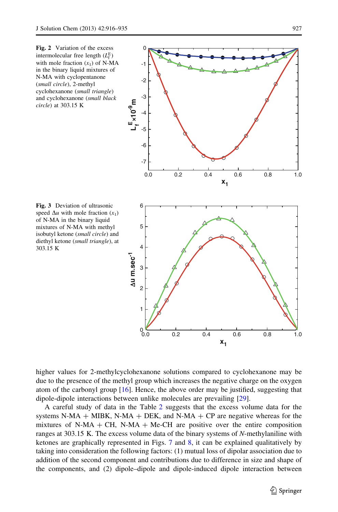<span id="page-11-0"></span>



Fig. 3 Deviation of ultrasonic speed  $\Delta u$  with mole fraction  $(x_1)$ of N-MA in the binary liquid mixtures of N-MA with methyl isobutyl ketone (small circle) and diethyl ketone (small triangle), at 303.15 K

higher values for 2-methylcyclohexanone solutions compared to cyclohexanone may be due to the presence of the methyl group which increases the negative charge on the oxygen atom of the carbonyl group [[16](#page-19-0)]. Hence, the above order may be justified, suggesting that dipole-dipole interactions between unlike molecules are prevailing [\[29\]](#page-19-0).

A careful study of data in the Table [2](#page-4-0) suggests that the excess volume data for the systems N-MA  $+$  MIBK, N-MA  $+$  DEK, and N-MA  $+$  CP are negative whereas for the mixtures of N-MA + CH, N-MA + Me-CH are positive over the entire composition ranges at 303.15 K. The excess volume data of the binary systems of N-methylaniline with ketones are graphically represented in Figs.  $7$  and  $8$ , it can be explained qualitatively by taking into consideration the following factors: (1) mutual loss of dipolar association due to addition of the second component and contributions due to difference in size and shape of the components, and (2) dipole–dipole and dipole-induced dipole interaction between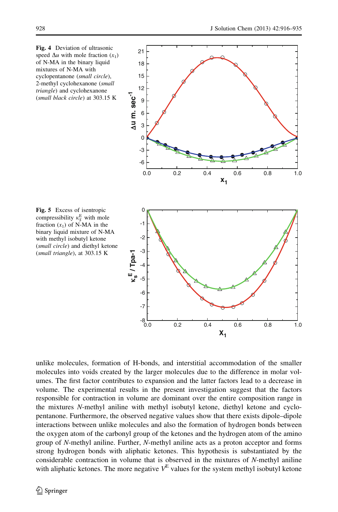

<span id="page-12-0"></span>

Fig. 5 Excess of isentropic compressibility  $\kappa_S^E$  with mole fraction  $(x_1)$  of N-MA in the binary liquid mixture of N-MA with methyl isobutyl ketone (small circle) and diethyl ketone (small triangle), at 303.15 K

unlike molecules, formation of H-bonds, and interstitial accommodation of the smaller molecules into voids created by the larger molecules due to the difference in molar volumes. The first factor contributes to expansion and the latter factors lead to a decrease in volume. The experimental results in the present investigation suggest that the factors responsible for contraction in volume are dominant over the entire composition range in the mixtures N-methyl aniline with methyl isobutyl ketone, diethyl ketone and cyclopentanone. Furthermore, the observed negative values show that there exists dipole–dipole interactions between unlike molecules and also the formation of hydrogen bonds between the oxygen atom of the carbonyl group of the ketones and the hydrogen atom of the amino group of N-methyl aniline. Further, N-methyl aniline acts as a proton acceptor and forms strong hydrogen bonds with aliphatic ketones. This hypothesis is substantiated by the considerable contraction in volume that is observed in the mixtures of N-methyl aniline with aliphatic ketones. The more negative  $V<sup>E</sup>$  values for the system methyl isobutyl ketone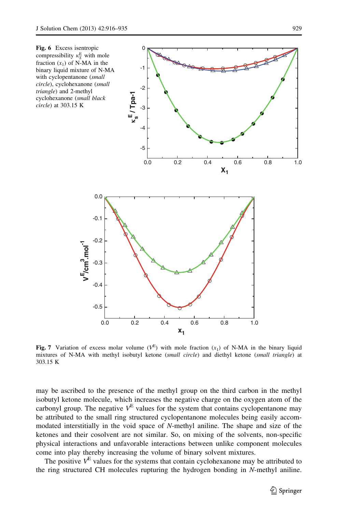<span id="page-13-0"></span>

Fig. 7 Variation of excess molar volume  $(V^{E})$  with mole fraction  $(x_1)$  of N-MA in the binary liquid mixtures of N-MA with methyl isobutyl ketone (small circle) and diethyl ketone (small triangle) at 303.15 K

may be ascribed to the presence of the methyl group on the third carbon in the methyl isobutyl ketone molecule, which increases the negative charge on the oxygen atom of the carbonyl group. The negative  $V^E$  values for the system that contains cyclopentanone may be attributed to the small ring structured cyclopentanone molecules being easily accommodated interstitially in the void space of N-methyl aniline. The shape and size of the ketones and their cosolvent are not similar. So, on mixing of the solvents, non-specific physical interactions and unfavorable interactions between unlike component molecules come into play thereby increasing the volume of binary solvent mixtures.

The positive  $V<sup>E</sup>$  values for the systems that contain cyclohexanone may be attributed to the ring structured CH molecules rupturing the hydrogen bonding in N-methyl aniline.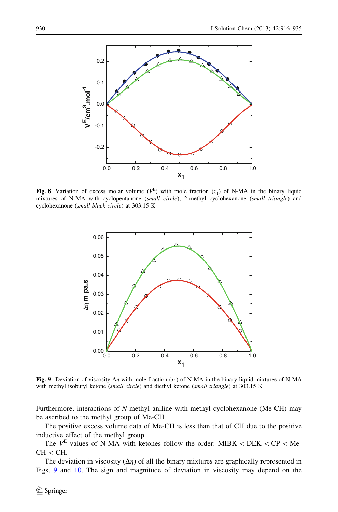<span id="page-14-0"></span>

Fig. 8 Variation of excess molar volume  $(V^{E})$  with mole fraction  $(x_1)$  of N-MA in the binary liquid mixtures of N-MA with cyclopentanone (small circle), 2-methyl cyclohexanone (small triangle) and cyclohexanone (small black circle) at 303.15 K



**Fig. 9** Deviation of viscosity  $\Delta \eta$  with mole fraction  $(x_1)$  of N-MA in the binary liquid mixtures of N-MA with methyl isobutyl ketone (small circle) and diethyl ketone (small triangle) at 303.15 K

Furthermore, interactions of N-methyl aniline with methyl cyclohexanone (Me-CH) may be ascribed to the methyl group of Me-CH.

The positive excess volume data of Me-CH is less than that of CH due to the positive inductive effect of the methyl group.

The  $V^E$  values of N-MA with ketones follow the order: MIBK < DEK < CP < Me- $CH < CH$ .

The deviation in viscosity  $(\Delta \eta)$  of all the binary mixtures are graphically represented in Figs. 9 and [10.](#page-15-0) The sign and magnitude of deviation in viscosity may depend on the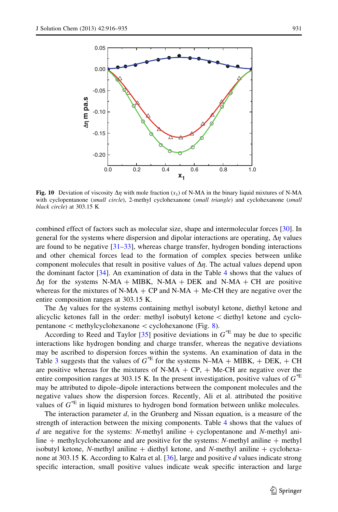<span id="page-15-0"></span>

Fig. 10 Deviation of viscosity  $\Delta \eta$  with mole fraction  $(x_1)$  of N-MA in the binary liquid mixtures of N-MA with cyclopentanone (small circle), 2-methyl cyclohexanone (small triangle) and cyclohexanone (small black circle) at 303.15 K

combined effect of factors such as molecular size, shape and intermolecular forces [\[30\]](#page-19-0). In general for the systems where dispersion and dipolar interactions are operating,  $\Delta \eta$  values are found to be negative  $[31-33]$ , whereas charge transfer, hydrogen bonding interactions and other chemical forces lead to the formation of complex species between unlike component molecules that result in positive values of  $\Delta \eta$ . The actual values depend upon the dominant factor [[34](#page-19-0)]. An examination of data in the Table [4](#page-16-0) shows that the values of  $\Delta \eta$  for the systems N-MA + MIBK, N-MA + DEK and N-MA + CH are positive whereas for the mixtures of N-MA  $+$  CP and N-MA  $+$  Me-CH they are negative over the entire composition ranges at 303.15 K.

The  $\Delta \eta$  values for the systems containing methyl isobutyl ketone, diethyl ketone and alicyclic ketones fall in the order: methyl isobutyl ketone  $\lt$  diethyl ketone and cyclopentanone  $\lt$  methylcyclohexanone  $\lt$  cyclohexanone (Fig. [8](#page-14-0)).

According to Reed and Taylor [[35](#page-19-0)] positive deviations in  $G^*$ <sup>E</sup> may be due to specific interactions like hydrogen bonding and charge transfer, whereas the negative deviations may be ascribed to dispersion forces within the systems. An examination of data in the Table [3](#page-9-0) suggests that the values of  $G^*$  for the systems N–MA + MIBK, + DEK, + CH are positive whereas for the mixtures of N-MA  $+$  CP,  $+$  Me-CH are negative over the entire composition ranges at 303.15 K. In the present investigation, positive values of  $G^*$ may be attributed to dipole–dipole interactions between the component molecules and the negative values show the dispersion forces. Recently, Ali et al. attributed the positive values of  $G^*$  in liquid mixtures to hydrogen bond formation between unlike molecules.

The interaction parameter d, in the Grunberg and Nissan equation, is a measure of the strength of interaction between the mixing components. Table [4](#page-16-0) shows that the values of d are negative for the systems: N-methyl aniline  $+$  cyclopentanone and N-methyl aniline  $+$  methylcyclohexanone and are positive for the systems: N-methyl aniline  $+$  methyl isobutyl ketone, N-methyl aniline  $+$  diethyl ketone, and N-methyl aniline  $+$  cyclohexanone at 303.15 K. According to Kalra et al.  $[36]$ , large and positive d values indicate strong specific interaction, small positive values indicate weak specific interaction and large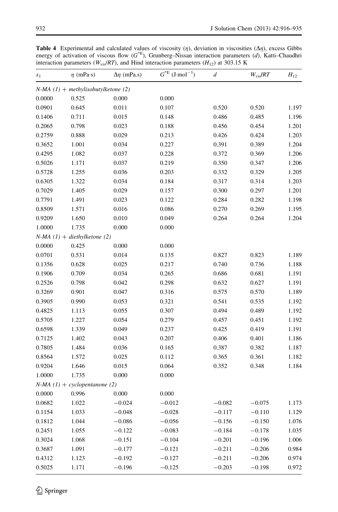| $x_1$            | $\eta$ (mPa·s)                        | $\Delta \eta$ (mPa.s) | $G^{*E}$<br>$\rm (J\text{-}mol^{-1})$ | d                    | $W_{\rm vis}/RT$     | $H_{12}$       |
|------------------|---------------------------------------|-----------------------|---------------------------------------|----------------------|----------------------|----------------|
|                  | $N-MA$ (1) + methylisobutylketone (2) |                       |                                       |                      |                      |                |
| 0.0000           | 0.525                                 | 0.000                 | 0.000                                 |                      |                      |                |
| 0.0901           | 0.645                                 | 0.011                 | 0.107                                 | 0.520                | 0.520                | 1.197          |
| 0.1406           | 0.711                                 | 0.015                 | 0.148                                 | 0.486                | 0.485                | 1.196          |
| 0.2065           | 0.798                                 | 0.023                 | 0.188                                 | 0.456                | 0.454                | 1.201          |
| 0.2759           | 0.888                                 | 0.029                 | 0.213                                 | 0.426                | 0.424                | 1.203          |
| 0.3652           | 1.001                                 | 0.034                 | 0.227                                 | 0.391                | 0.389                | 1.204          |
| 0.4295           | 1.082                                 | 0.037                 | 0.228                                 | 0.372                | 0.369                | 1.206          |
| 0.5026           | 1.171                                 | 0.037                 | 0.219                                 | 0.350                | 0.347                | 1.206          |
| 0.5728           | 1.255                                 | 0.036                 | 0.203                                 | 0.332                | 0.329                | 1.205          |
| 0.6305           | 1.322                                 | 0.034                 | 0.184                                 | 0.317                | 0.314                | 1.203          |
| 0.7029           | 1.405                                 | 0.029                 | 0.157                                 | 0.300                | 0.297                | 1.201          |
| 0.7791           | 1.491                                 | 0.023                 | 0.122                                 | 0.284                | 0.282                | 1.198          |
| 0.8509           | 1.571                                 | 0.016                 | 0.086                                 | 0.270                | 0.269                | 1.195          |
| 0.9209           | 1.650                                 | 0.010                 | 0.049                                 | 0.264                | 0.264                | 1.204          |
| 1.0000           | 1.735                                 | 0.000                 | 0.000                                 |                      |                      |                |
|                  | $N-MA$ (1) + diethylketone (2)        |                       |                                       |                      |                      |                |
| 0.0000           | 0.425                                 | 0.000                 | 0.000                                 |                      |                      |                |
| 0.0701           | 0.531                                 | 0.014                 | 0.135                                 | 0.827                | 0.823                | 1.189          |
| 0.1356           | 0.628                                 | 0.025                 | 0.217                                 | 0.740                | 0.736                | 1.188          |
| 0.1906           | 0.709                                 | 0.034                 | 0.265                                 | 0.686                | 0.681                | 1.191          |
| 0.2526           | 0.798                                 | 0.042                 | 0.298                                 | 0.632                | 0.627                | 1.191          |
| 0.3269           | 0.901                                 | 0.047                 | 0.316                                 | 0.575                | 0.570                | 1.189          |
| 0.3905           | 0.990                                 | 0.053                 | 0.321                                 | 0.541                | 0.535                | 1.192          |
| 0.4825           | 1.113                                 | 0.055                 | 0.307                                 | 0.494                | 0.489                | 1.192          |
| 0.5705           | 1.227                                 | 0.054                 | 0.279                                 | 0.457                | 0.451                | 1.192          |
| 0.6598           | 1.339                                 | 0.049                 | 0.237                                 | 0.425                | 0.419                | 1.191          |
| 0.7125           | 1.402                                 | 0.043                 | 0.207                                 | 0.406                | 0.401                | 1.186          |
| 0.7805           | 1.484                                 | 0.036                 | 0.165                                 | 0.387                | 0.382                | 1.187          |
| 0.8564           | 1.572                                 | 0.025                 | 0.112                                 | 0.365                | 0.361                | 1.182          |
| 0.9204           | 1.646                                 | 0.015                 | 0.064                                 | 0.352                | 0.348                | 1.184          |
| 1.0000           | 1.735                                 | 0.000                 | 0.000                                 |                      |                      |                |
|                  | $N-MA$ (1) + cyclopentanone (2)       |                       |                                       |                      |                      |                |
| 0.0000           | 0.996                                 | 0.000                 | 0.000                                 |                      |                      |                |
| 0.0682           | 1.022                                 | $-0.024$              | $-0.012$                              | $-0.082$             | $-0.075$             | 1.173          |
| 0.1154           | 1.033                                 | $-0.048$              | $-0.028$                              | $-0.117$             | $-0.110$             | 1.129          |
|                  |                                       |                       |                                       |                      |                      |                |
| 0.1812<br>0.2451 | 1.044<br>1.055                        | $-0.086$<br>$-0.122$  | $-0.056$<br>$-0.083$                  | $-0.156$<br>$-0.184$ | $-0.150$<br>$-0.178$ | 1.076<br>1.035 |
|                  |                                       |                       |                                       |                      |                      |                |
| 0.3024           | 1.068                                 | $-0.151$              | $-0.104$                              | $-0.201$             | $-0.196$             | 1.006          |
| 0.3687           | 1.091                                 | $-0.177$              | $-0.121$                              | $-0.211$             | $-0.206$             | 0.984          |
| 0.4312           | 1.123                                 | $-0.192$              | $-0.127$                              | $-0.211$             | $-0.206$             | 0.974          |
| 0.5025           | 1.171                                 | $-0.196$              | $-0.125$                              | $-0.203$             | $-0.198$             | 0.972          |

<span id="page-16-0"></span>**Table 4** Experimental and calculated values of viscosity  $(\eta)$ , deviation in viscosities  $(\Delta \eta)$ , excess Gibbs energy of activation of viscous flow  $(G^{*E})$ , Grunberg–Nissan interaction parameters  $(d)$ , Katti–Chaudhri interaction parameters ( $W_{vis}$ / $RT$ ), and Hind interaction parameters ( $H_{12}$ ) at 303.15 K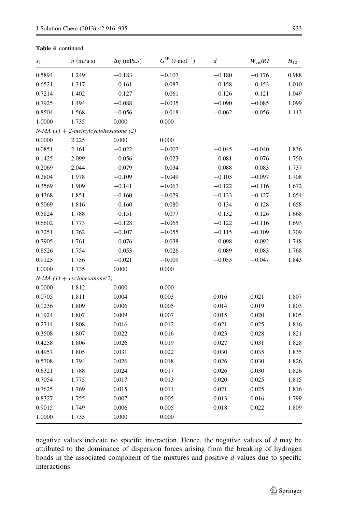#### Table 4 continued

| $x_1$  | $\eta$ (mPa·s)                         | $\Delta \eta$ (mPa.s) | $G^*$ <sup>E</sup> (J·mol <sup>-1</sup> ) | $\boldsymbol{d}$ | $W_{\rm vis}/RT$ | $H_{12}$ |
|--------|----------------------------------------|-----------------------|-------------------------------------------|------------------|------------------|----------|
| 0.5894 | 1.249                                  | $-0.183$              | $-0.107$                                  | $-0.180$         | $-0.176$         | 0.988    |
| 0.6521 | 1.317                                  | $-0.161$              | $-0.087$                                  | $-0.158$         | $-0.153$         | 1.010    |
| 0.7214 | 1.402                                  | $-0.127$              | $-0.061$                                  | $-0.126$         | $-0.121$         | 1.049    |
| 0.7925 | 1.494                                  | $-0.088$              | $-0.035$                                  | $-0.090$         | $-0.085$         | 1.099    |
| 0.8504 | 1.568                                  | $-0.056$              | $-0.018$                                  | $-0.062$         | $-0.056$         | 1.143    |
| 1.0000 | 1.735                                  | 0.000                 | 0.000                                     |                  |                  |          |
|        | $N-MA$ (1) + 2-methylcyclohexanone (2) |                       |                                           |                  |                  |          |
| 0.0000 | 2.225                                  | 0.000                 | 0.000                                     |                  |                  |          |
| 0.0851 | 2.161                                  | $-0.022$              | $-0.007$                                  | $-0.045$         | $-0.040$         | 1.836    |
| 0.1425 | 2.099                                  | $-0.056$              | $-0.023$                                  | $-0.081$         | $-0.076$         | 1.750    |
| 0.2069 | 2.044                                  | $-0.079$              | $-0.034$                                  | $-0.088$         | $-0.083$         | 1.737    |
| 0.2804 | 1.978                                  | $-0.109$              | $-0.049$                                  | $-0.103$         | $-0.097$         | 1.708    |
| 0.3569 | 1.909                                  | $-0.141$              | $-0.067$                                  | $-0.122$         | $-0.116$         | 1.672    |
| 0.4368 | 1.851                                  | $-0.160$              | $-0.079$                                  | $-0.133$         | $-0.127$         | 1.654    |
| 0.5069 | 1.816                                  | $-0.160$              | $-0.080$                                  | $-0.134$         | $-0.128$         | 1.658    |
| 0.5824 | 1.788                                  | $-0.151$              | $-0.077$                                  | $-0.132$         | $-0.126$         | 1.668    |
| 0.6602 | 1.773                                  | $-0.128$              | $-0.065$                                  | $-0.122$         | $-0.116$         | 1.693    |
| 0.7251 | 1.762                                  | $-0.107$              | $-0.055$                                  | $-0.115$         | $-0.109$         | 1.709    |
| 0.7905 | 1.761                                  | $-0.076$              | $-0.038$                                  | $-0.098$         | $-0.092$         | 1.748    |
| 0.8526 | 1.754                                  | $-0.053$              | $-0.026$                                  | $-0.089$         | $-0.083$         | 1.768    |
| 0.9125 | 1.756                                  | $-0.021$              | $-0.009$                                  | $-0.053$         | $-0.047$         | 1.843    |
| 1.0000 | 1.735                                  | 0.000                 | 0.000                                     |                  |                  |          |
|        | $N-MA$ (1) + cyclohexanone(2)          |                       |                                           |                  |                  |          |
| 0.0000 | 1.812                                  | 0.000                 | 0.000                                     |                  |                  |          |
| 0.0705 | 1.811                                  | 0.004                 | 0.003                                     | 0.016            | 0.021            | 1.807    |
| 0.1236 | 1.809                                  | 0.006                 | 0.005                                     | 0.014            | 0.019            | 1.803    |
| 0.1924 | 1.807                                  | 0.009                 | 0.007                                     | 0.015            | 0.020            | 1.805    |
| 0.2714 | 1.808                                  | 0.016                 | 0.012                                     | 0.021            | 0.025            | 1.816    |
| 0.3508 | 1.807                                  | 0.022                 | 0.016                                     | 0.023            | 0.028            | 1.821    |
| 0.4258 | 1.806                                  | 0.026                 | 0.019                                     | 0.027            | 0.031            | 1.828    |
| 0.4957 | 1.805                                  | 0.031                 | 0.022                                     | 0.030            | 0.035            | 1.835    |
| 0.5708 | 1.794                                  | 0.026                 | 0.018                                     | 0.026            | 0.030            | 1.826    |
| 0.6321 | 1.788                                  | 0.024                 | 0.017                                     | 0.026            | 0.030            | 1.826    |
| 0.7054 | 1.775                                  | 0.017                 | 0.013                                     | 0.020            | 0.025            | 1.815    |
| 0.7625 | 1.769                                  | 0.015                 | 0.011                                     | 0.021            | 0.025            | 1.816    |
| 0.8327 | 1.755                                  | 0.007                 | 0.005                                     | 0.013            | 0.016            | 1.799    |
| 0.9015 | 1.749                                  | 0.006                 | 0.005                                     | 0.018            | 0.022            | 1.809    |
| 1.0000 | 1.735                                  | 0.000                 | 0.000                                     |                  |                  |          |

negative values indicate no specific interaction. Hence, the negative values of  $d$  may be attributed to the dominance of dispersion forces arising from the breaking of hydrogen bonds in the associated component of the mixtures and positive  $d$  values due to specific interactions.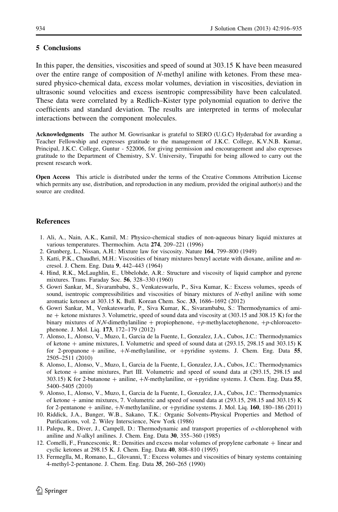#### <span id="page-18-0"></span>5 Conclusions

In this paper, the densities, viscosities and speed of sound at 303.15 K have been measured over the entire range of composition of N-methyl aniline with ketones. From these measured physico-chemical data, excess molar volumes, deviation in viscosities, deviation in ultrasonic sound velocities and excess isentropic compressibility have been calculated. These data were correlated by a Redlich–Kister type polynomial equation to derive the coefficients and standard deviation. The results are interpreted in terms of molecular interactions between the component molecules.

Acknowledgments The author M. Gowrisankar is grateful to SERO (U.G.C) Hyderabad for awarding a Teacher Fellowship and expresses gratitude to the management of J.K.C. College, K.V.N.B. Kumar, Principal, J.K.C. College, Guntur - 522006, for giving permission and encouragement and also expresses gratitude to the Department of Chemistry, S.V. University, Tirupathi for being allowed to carry out the present research work.

Open Access This article is distributed under the terms of the Creative Commons Attribution License which permits any use, distribution, and reproduction in any medium, provided the original author(s) and the source are credited.

## **References**

- 1. Ali, A., Nain, A.K., Kamil, M.: Physico-chemical studies of non-aqueous binary liquid mixtures at various temperatures. Thermochim. Acta 274, 209–221 (1996)
- 2. Grunberg, L., Nissan, A.H.: Mixture law for viscosity. Nature 164, 799–800 (1949)
- 3. Katti, P.K., Chaudhri, M.H.: Viscosities of binary mixtures benzyl acetate with dioxane, aniline and mcresol. J. Chem. Eng. Data 9, 442–443 (1964)
- 4. Hind, R.K., McLaughlin, E., Ubbelohde, A.R.: Structure and viscosity of liquid camphor and pyrene mixtures. Trans. Faraday Soc. 56, 328–330 (1960)
- 5. Gowri Sankar, M., Sivarambabu, S., Venkateswarlu, P., Siva Kumar, K.: Excess volumes, speeds of sound, isentropic compressibilities and viscosities of binary mixtures of N-ethyl aniline with some aromatic ketones at 303.15 K. Bull. Korean Chem. Soc. 33, 1686–1692 (2012)
- 6. Gowri Sankar, M., Venkateswarlu, P., Siva Kumar, K., Sivarambabu, S.: Thermodynamics of amine  $+$  ketone mixtures 3. Volumetric, speed of sound data and viscosity at (303.15 and 308.15 K) for the binary mixtures of N,N-dimethylaniline + propiophenone,  $+p$ -methylacetophenone,  $+p$ -chloroacetophenone. J. Mol. Liq. 173, 172–179 (2012)
- 7. Alonso, I., Alonso, V., Muzo, I., Garcia de la Fuente, I., Gonzalez, J.A., Cubos, J.C.: Thermodynamics of ketone  $+$  amine mixtures, I. Volumetric and speed of sound data at (293.15, 298.15 and 303.15) K for 2-propanone + aniline,  $+N$ -methylaniline, or +pyridine systems. J. Chem. Eng. Data 55, 2505–2511 (2010)
- 8. Alonso, I., Alonso, V., Muzo, I., Garcia de la Fuente, I., Gonzalez, J.A., Cubos, J.C.: Thermodynamics of ketone  $+$  amine mixtures, Part III. Volumetric and speed of sound data at  $(293.15, 298.15,$  and  $303.15$ ) K for 2-butanone + aniline,  $+N$ -methylaniline, or +pyridine systems. J. Chem. Eng. Data 55, 5400–5405 (2010)
- 9. Alonso, I., Alonso, V., Muzo, I., Garcia de la Fuente, I., Gonzalez, J.A., Cubos, J.C.: Thermodynamics of ketone  $+$  amine mixtures, 7. Volumetric and speed of sound data at (293.15, 298.15 and 303.15) K for 2-pentanone  $+$  aniline,  $+N$ -methylaniline, or  $+p$ yridine systems. J. Mol. Liq. 160, 180–186 (2011)
- 10. Riddick, J.A., Bunger, W.B., Sakano, T.K.: Organic Solvents-Physical Properties and Method of Purifications, vol. 2. Wiley Interscience, New York (1986)
- 11. Palepu, R., Diver, J., Campell, D.: Thermodynamic and transport properties of o-chlorophenol with aniline and N-alkyl anilines. J. Chem. Eng. Data 30, 355–360 (1985)
- 12. Comelli, F., Francesconic, R.: Densities and excess molar volumes of propylene carbonate + linear and cyclic ketones at 298.15 K. J. Chem. Eng. Data 40, 808–810 (1995)
- 13. Fermeglla, M., Romano, L., Glovanni, T.: Excess volumes and viscosities of binary systems containing 4-methyl-2-pentanone. J. Chem. Eng. Data 35, 260–265 (1990)